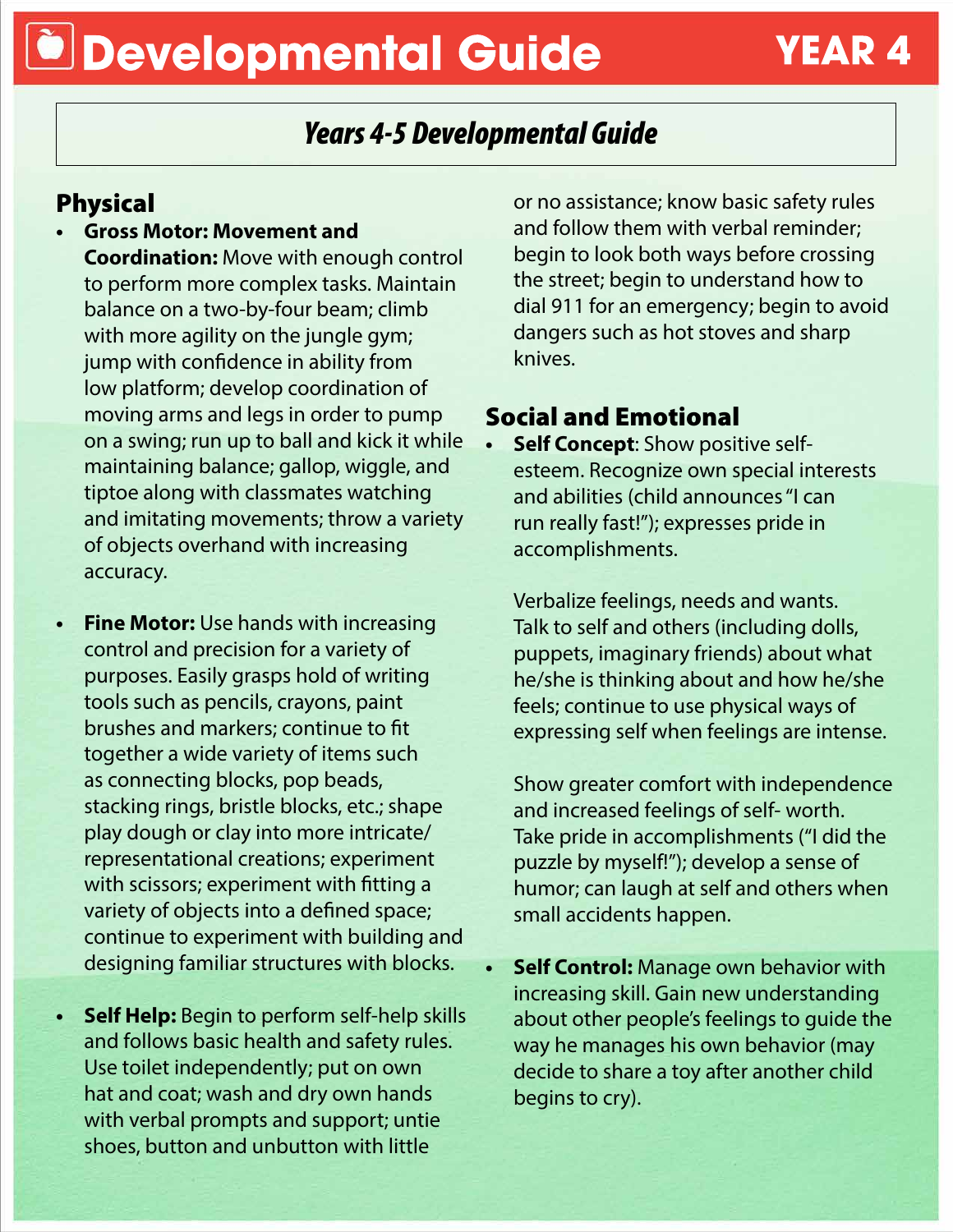## **Developmental Guide YEAR 4**

## *Years 4-5 Developmental Guide*

### Physical

- **• Gross Motor: Movement and Coordination:** Move with enough control to perform more complex tasks. Maintain balance on a two-by-four beam; climb with more agility on the jungle gym; jump with confidence in ability from low platform; develop coordination of moving arms and legs in order to pump on a swing; run up to ball and kick it while maintaining balance; gallop, wiggle, and tiptoe along with classmates watching and imitating movements; throw a variety of objects overhand with increasing accuracy.
- **• Fine Motor:** Use hands with increasing control and precision for a variety of purposes. Easily grasps hold of writing tools such as pencils, crayons, paint brushes and markers; continue to fit together a wide variety of items such as connecting blocks, pop beads, stacking rings, bristle blocks, etc.; shape play dough or clay into more intricate/ representational creations; experiment with scissors; experiment with fitting a variety of objects into a defined space; continue to experiment with building and designing familiar structures with blocks.
- **• Self Help:** Begin to perform self-help skills and follows basic health and safety rules. Use toilet independently; put on own hat and coat; wash and dry own hands with verbal prompts and support; untie shoes, button and unbutton with little

or no assistance; know basic safety rules and follow them with verbal reminder; begin to look both ways before crossing the street; begin to understand how to dial 911 for an emergency; begin to avoid dangers such as hot stoves and sharp knives.

### Social and Emotional

**• Self Concept**: Show positive selfesteem. Recognize own special interests and abilities (child announces "I can run really fast!"); expresses pride in accomplishments.

Verbalize feelings, needs and wants. Talk to self and others (including dolls, puppets, imaginary friends) about what he/she is thinking about and how he/she feels; continue to use physical ways of expressing self when feelings are intense.

Show greater comfort with independence and increased feelings of self- worth. Take pride in accomplishments ("I did the puzzle by myself!"); develop a sense of humor; can laugh at self and others when small accidents happen.

**• Self Control:** Manage own behavior with increasing skill. Gain new understanding about other people's feelings to guide the way he manages his own behavior (may decide to share a toy after another child begins to cry).